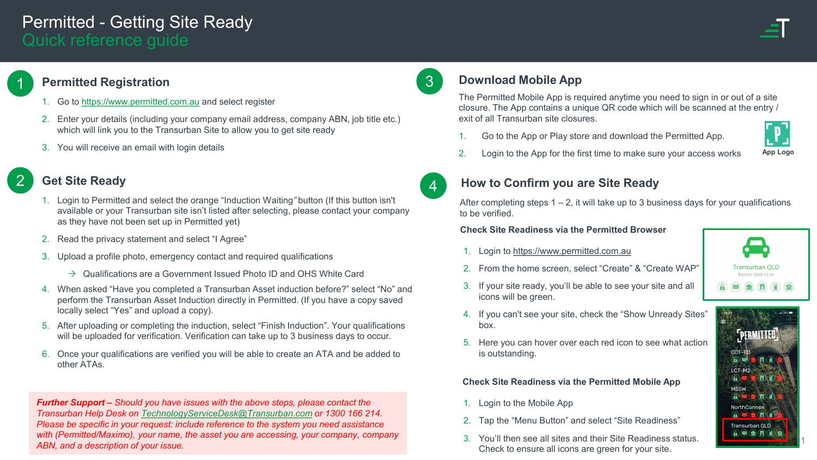# Permitted - Getting Site Ready Quick reference guide

## **Permitted Registration**

1

2

- 1. Go to [https://www.permitted.com.au](https://www.permitted.com.au/) and select register
- 2. Enter your details (including your company email address, company ABN, job title etc.) which will link you to the Transurban Site to allow you to get site ready
- 3. You will receive an email with login details

## **Get Site Ready**

- 1. Login to Permitted and select the orange "Induction Waiting*"* button (If this button isn't available or your Transurban site isn't listed after selecting, please contact your company as they have not been set up in Permitted yet)
- 2. Read the privacy statement and select "I Agree"
- 3. Upload a profile photo, emergency contact and required qualifications
	- $\rightarrow$  Qualifications are a Government Issued Photo ID and OHS White Card
- 4. When asked "Have you completed a Transurban Asset induction before?" select "No" and perform the Transurban Asset Induction directly in Permitted. (If you have a copy saved locally select "Yes" and upload a copy).
- 5. After uploading or completing the induction, select "Finish Induction". Your qualifications will be uploaded for verification. Verification can take up to 3 business days to occur.
- 6. Once your qualifications are verified you will be able to create an ATA and be added to other ATAs.

*Further Support – Should you have issues with the above steps, please contact the Transurban Help Desk on [TechnologyServiceDesk@Transurban.com](mailto:TechnologyServiceDesk@Transurban.comor) or 1300 166 214. Please be specific in your request: include reference to the system you need assistance with (Permitted/Maximo), your name, the asset you are accessing, your company, company ABN, and a description of your issue.*

## 3 **Download Mobile App**

The Permitted Mobile App is required anytime you need to sign in or out of a site closure. The App contains a unique QR code which will be scanned at the entry / exit of all Transurban site closures.

1. Go to the App or Play store and download the Permitted App.



2. Login to the App for the first time to make sure your access works **App Logo**



## **How to Confirm you are Site Ready**

After completing steps  $1 - 2$ , it will take up to 3 business days for your qualifications to be verified.

#### **Check Site Readiness via the Permitted Browser**

- 1. Login to [https://www.permitted.com.au](https://www.permitted.com.au/)
- 2. From the home screen, select "Create" & "Create WAP"
- 3. If your site ready, you'll be able to see your site and all icons will be green.



- 4. If you can't see your site, check the "Show Unready Sites" box.
- 5. Here you can hover over each red icon to see what action is outstanding.

**Check Site Readiness via the Permitted Mobile App**

- 1. Login to the Mobile App
- 2. Tap the "Menu Button" and select "Site Readiness"
- 3. You'll then see all sites and their Site Readiness status. Check to ensure all icons are green for your site.